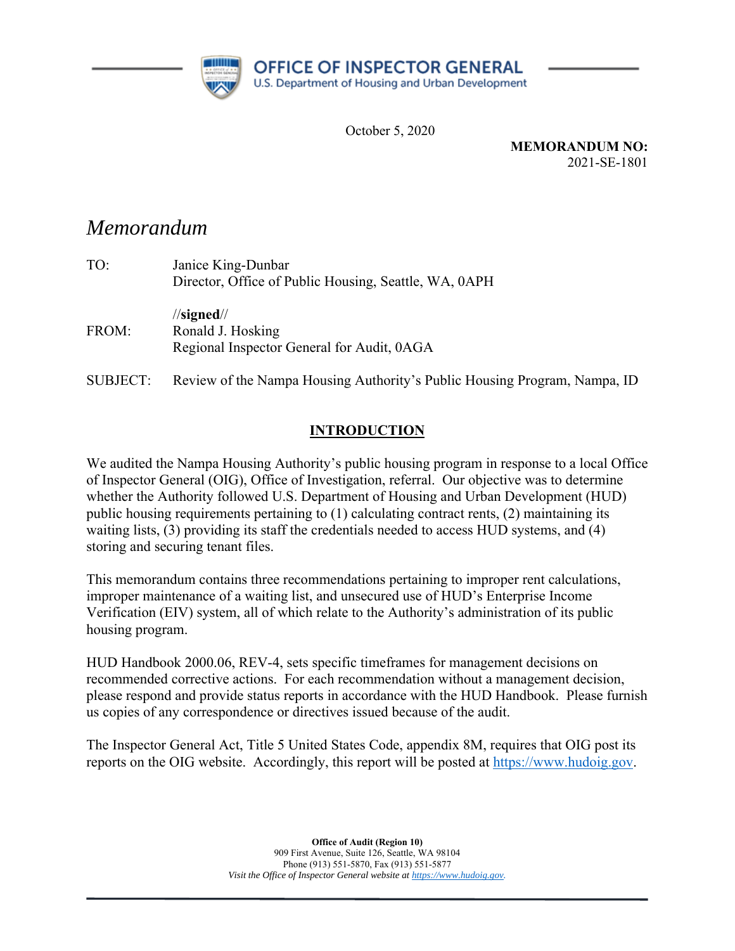

October 5, 2020

**MEMORANDUM NO:**  2021-SE-1801

# *Memorandum*

| TO:   | Janice King-Dunbar                                    |  |  |
|-------|-------------------------------------------------------|--|--|
|       | Director, Office of Public Housing, Seattle, WA, 0APH |  |  |
|       | $\frac{1}{\sqrt{2}}$                                  |  |  |
| FROM: | Ronald J. Hosking                                     |  |  |
|       | Regional Inspector General for Audit, 0AGA            |  |  |
|       |                                                       |  |  |

SUBJECT: Review of the Nampa Housing Authority's Public Housing Program, Nampa, ID

# **INTRODUCTION**

We audited the Nampa Housing Authority's public housing program in response to a local Office of Inspector General (OIG), Office of Investigation, referral. Our objective was to determine whether the Authority followed U.S. Department of Housing and Urban Development (HUD) public housing requirements pertaining to (1) calculating contract rents, (2) maintaining its waiting lists, (3) providing its staff the credentials needed to access HUD systems, and (4) storing and securing tenant files.

This memorandum contains three recommendations pertaining to improper rent calculations, improper maintenance of a waiting list, and unsecured use of HUD's Enterprise Income Verification (EIV) system, all of which relate to the Authority's administration of its public housing program.

HUD Handbook 2000.06, REV-4, sets specific timeframes for management decisions on recommended corrective actions. For each recommendation without a management decision, please respond and provide status reports in accordance with the HUD Handbook. Please furnish us copies of any correspondence or directives issued because of the audit.

The Inspector General Act, Title 5 United States Code, appendix 8M, requires that OIG post its reports on the OIG website. Accordingly, this report will be posted at https://www.hudoig.gov.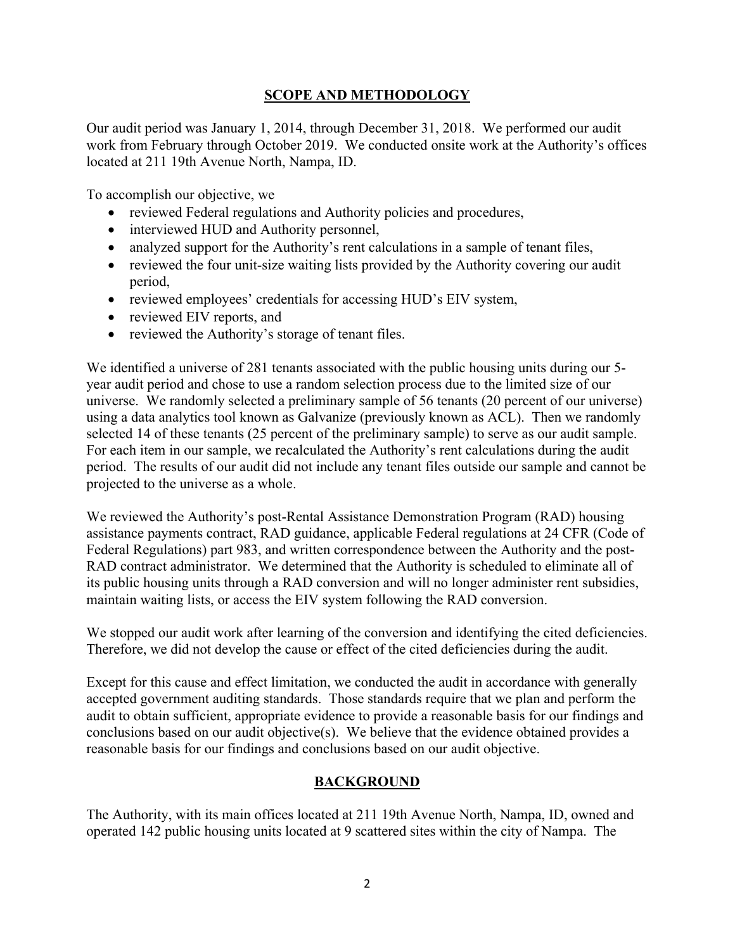# **SCOPE AND METHODOLOGY**

Our audit period was January 1, 2014, through December 31, 2018. We performed our audit work from February through October 2019. We conducted onsite work at the Authority's offices located at 211 19th Avenue North, Nampa, ID.

To accomplish our objective, we

- reviewed Federal regulations and Authority policies and procedures,
- interviewed HUD and Authority personnel,
- analyzed support for the Authority's rent calculations in a sample of tenant files,
- reviewed the four unit-size waiting lists provided by the Authority covering our audit period,
- reviewed employees' credentials for accessing HUD's EIV system,
- reviewed EIV reports, and
- reviewed the Authority's storage of tenant files.

We identified a universe of 281 tenants associated with the public housing units during our 5year audit period and chose to use a random selection process due to the limited size of our universe. We randomly selected a preliminary sample of 56 tenants (20 percent of our universe) using a data analytics tool known as Galvanize (previously known as ACL). Then we randomly selected 14 of these tenants (25 percent of the preliminary sample) to serve as our audit sample. For each item in our sample, we recalculated the Authority's rent calculations during the audit period. The results of our audit did not include any tenant files outside our sample and cannot be projected to the universe as a whole.

We reviewed the Authority's post-Rental Assistance Demonstration Program (RAD) housing assistance payments contract, RAD guidance, applicable Federal regulations at 24 CFR (Code of Federal Regulations) part 983, and written correspondence between the Authority and the post-RAD contract administrator. We determined that the Authority is scheduled to eliminate all of its public housing units through a RAD conversion and will no longer administer rent subsidies, maintain waiting lists, or access the EIV system following the RAD conversion.

We stopped our audit work after learning of the conversion and identifying the cited deficiencies. Therefore, we did not develop the cause or effect of the cited deficiencies during the audit.

Except for this cause and effect limitation, we conducted the audit in accordance with generally accepted government auditing standards. Those standards require that we plan and perform the audit to obtain sufficient, appropriate evidence to provide a reasonable basis for our findings and conclusions based on our audit objective(s). We believe that the evidence obtained provides a reasonable basis for our findings and conclusions based on our audit objective.

# **BACKGROUND**

The Authority, with its main offices located at 211 19th Avenue North, Nampa, ID, owned and operated 142 public housing units located at 9 scattered sites within the city of Nampa. The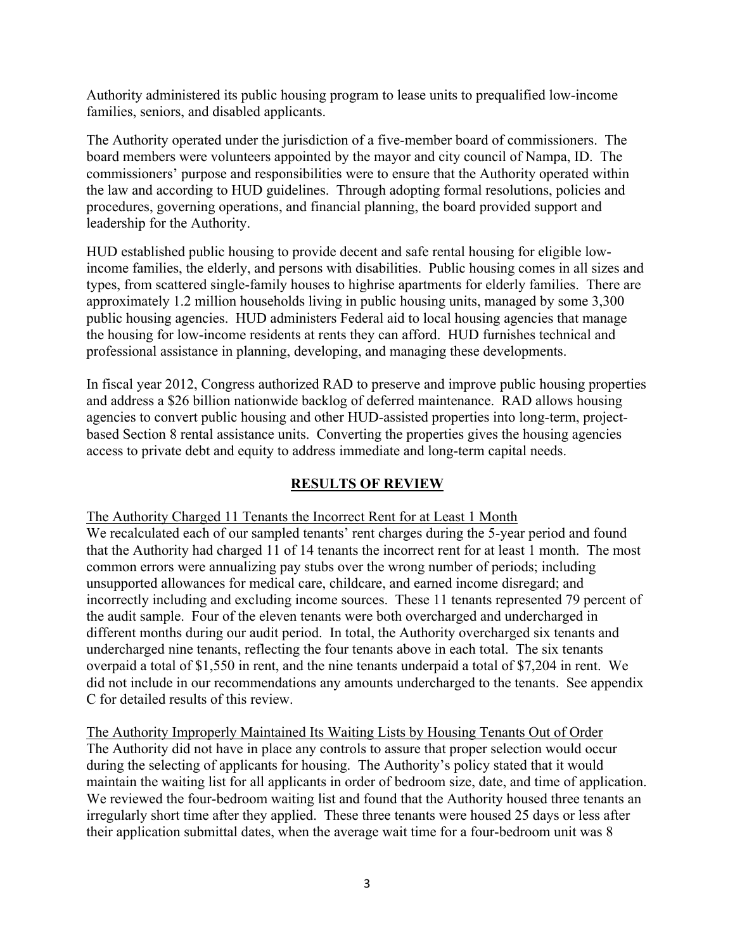Authority administered its public housing program to lease units to prequalified low-income families, seniors, and disabled applicants.

The Authority operated under the jurisdiction of a five-member board of commissioners. The board members were volunteers appointed by the mayor and city council of Nampa, ID. The commissioners' purpose and responsibilities were to ensure that the Authority operated within the law and according to HUD guidelines. Through adopting formal resolutions, policies and procedures, governing operations, and financial planning, the board provided support and leadership for the Authority.

HUD established public housing to provide decent and safe rental housing for eligible lowincome families, the elderly, and persons with disabilities. Public housing comes in all sizes and types, from scattered single-family houses to highrise apartments for elderly families. There are approximately 1.2 million households living in public housing units, managed by some 3,300 public housing agencies. HUD administers Federal aid to local housing agencies that manage the housing for low-income residents at rents they can afford. HUD furnishes technical and professional assistance in planning, developing, and managing these developments.

In fiscal year 2012, Congress authorized RAD to preserve and improve public housing properties and address a \$26 billion nationwide backlog of deferred maintenance. RAD allows housing agencies to convert public housing and other HUD-assisted properties into long-term, projectbased Section 8 rental assistance units. Converting the properties gives the housing agencies access to private debt and equity to address immediate and long-term capital needs.

# **RESULTS OF REVIEW**

The Authority Charged 11 Tenants the Incorrect Rent for at Least 1 Month We recalculated each of our sampled tenants' rent charges during the 5-year period and found that the Authority had charged 11 of 14 tenants the incorrect rent for at least 1 month. The most common errors were annualizing pay stubs over the wrong number of periods; including unsupported allowances for medical care, childcare, and earned income disregard; and incorrectly including and excluding income sources. These 11 tenants represented 79 percent of the audit sample. Four of the eleven tenants were both overcharged and undercharged in different months during our audit period. In total, the Authority overcharged six tenants and undercharged nine tenants, reflecting the four tenants above in each total. The six tenants overpaid a total of \$1,550 in rent, and the nine tenants underpaid a total of \$7,204 in rent. We did not include in our recommendations any amounts undercharged to the tenants. See appendix C for detailed results of this review.

The Authority Improperly Maintained Its Waiting Lists by Housing Tenants Out of Order The Authority did not have in place any controls to assure that proper selection would occur during the selecting of applicants for housing. The Authority's policy stated that it would maintain the waiting list for all applicants in order of bedroom size, date, and time of application. We reviewed the four-bedroom waiting list and found that the Authority housed three tenants an irregularly short time after they applied. These three tenants were housed 25 days or less after their application submittal dates, when the average wait time for a four-bedroom unit was 8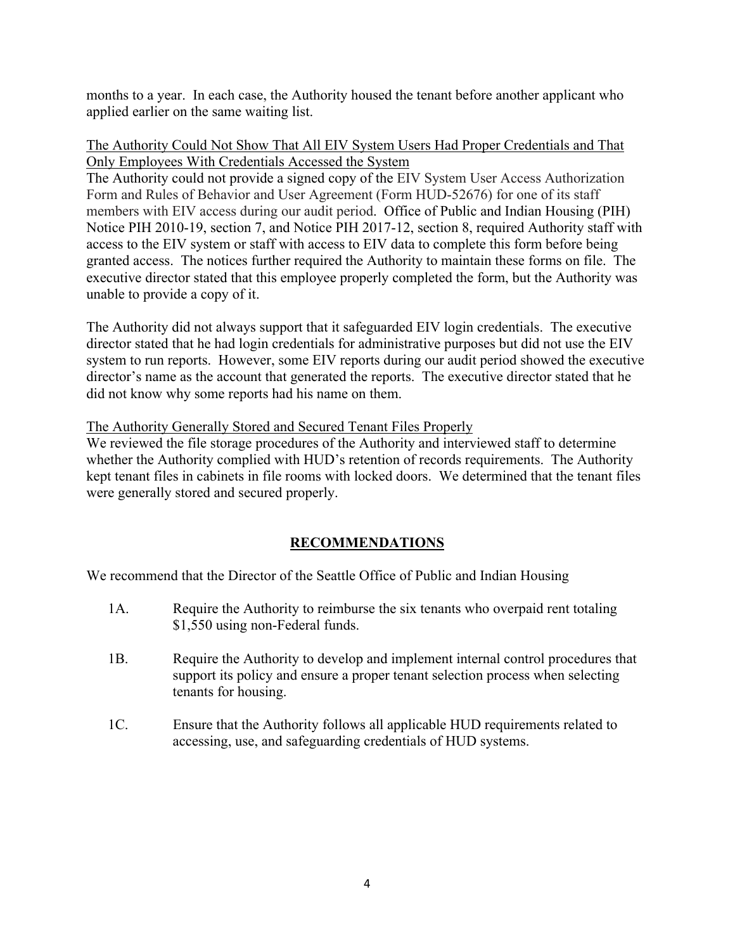months to a year. In each case, the Authority housed the tenant before another applicant who applied earlier on the same waiting list.

#### The Authority Could Not Show That All EIV System Users Had Proper Credentials and That Only Employees With Credentials Accessed the System

The Authority could not provide a signed copy of the EIV System User Access Authorization Form and Rules of Behavior and User Agreement (Form HUD-52676) for one of its staff members with EIV access during our audit period. Office of Public and Indian Housing (PIH) Notice PIH 2010-19, section 7, and Notice PIH 2017-12, section 8, required Authority staff with access to the EIV system or staff with access to EIV data to complete this form before being granted access. The notices further required the Authority to maintain these forms on file. The executive director stated that this employee properly completed the form, but the Authority was unable to provide a copy of it.

The Authority did not always support that it safeguarded EIV login credentials. The executive director stated that he had login credentials for administrative purposes but did not use the EIV system to run reports. However, some EIV reports during our audit period showed the executive director's name as the account that generated the reports. The executive director stated that he did not know why some reports had his name on them.

#### The Authority Generally Stored and Secured Tenant Files Properly

We reviewed the file storage procedures of the Authority and interviewed staff to determine whether the Authority complied with HUD's retention of records requirements. The Authority kept tenant files in cabinets in file rooms with locked doors. We determined that the tenant files were generally stored and secured properly.

# **RECOMMENDATIONS**

We recommend that the Director of the Seattle Office of Public and Indian Housing

- 1A. Require the Authority to reimburse the six tenants who overpaid rent totaling \$1,550 using non-Federal funds.
- 1B. Require the Authority to develop and implement internal control procedures that support its policy and ensure a proper tenant selection process when selecting tenants for housing.
- 1C. Ensure that the Authority follows all applicable HUD requirements related to accessing, use, and safeguarding credentials of HUD systems.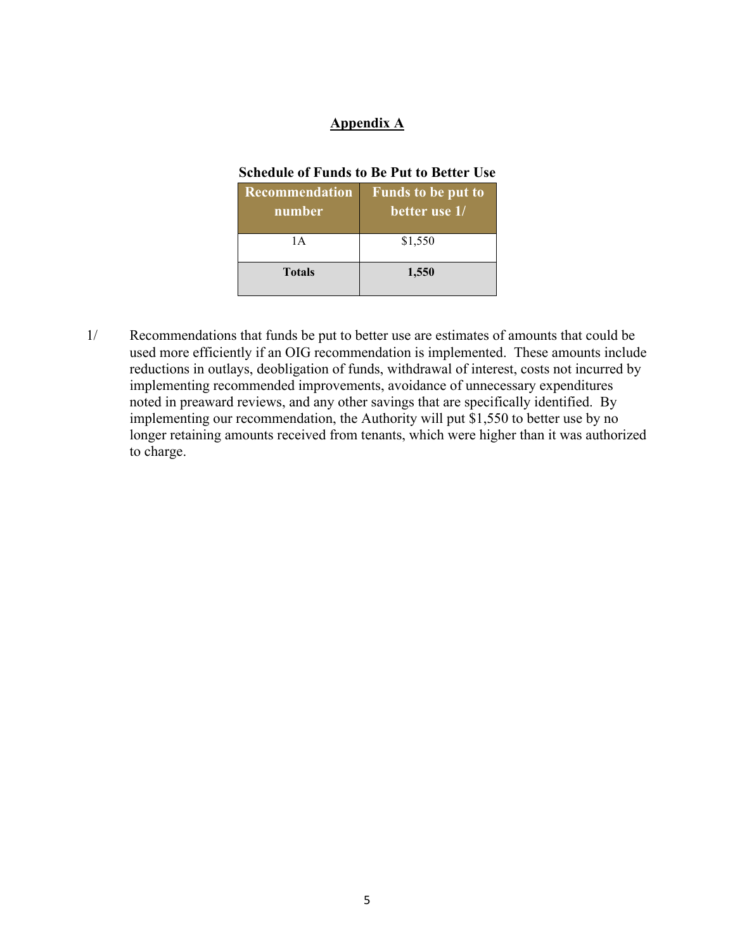### **Appendix A**

#### **Schedule of Funds to Be Put to Better Use**

| <b>Recommendation</b><br>number | <b>Funds to be put to</b><br>better use 1/ |
|---------------------------------|--------------------------------------------|
| 1 A                             | \$1,550                                    |
| <b>Totals</b>                   | 1,550                                      |

1/ Recommendations that funds be put to better use are estimates of amounts that could be used more efficiently if an OIG recommendation is implemented. These amounts include reductions in outlays, deobligation of funds, withdrawal of interest, costs not incurred by implementing recommended improvements, avoidance of unnecessary expenditures noted in preaward reviews, and any other savings that are specifically identified. By implementing our recommendation, the Authority will put \$1,550 to better use by no longer retaining amounts received from tenants, which were higher than it was authorized to charge.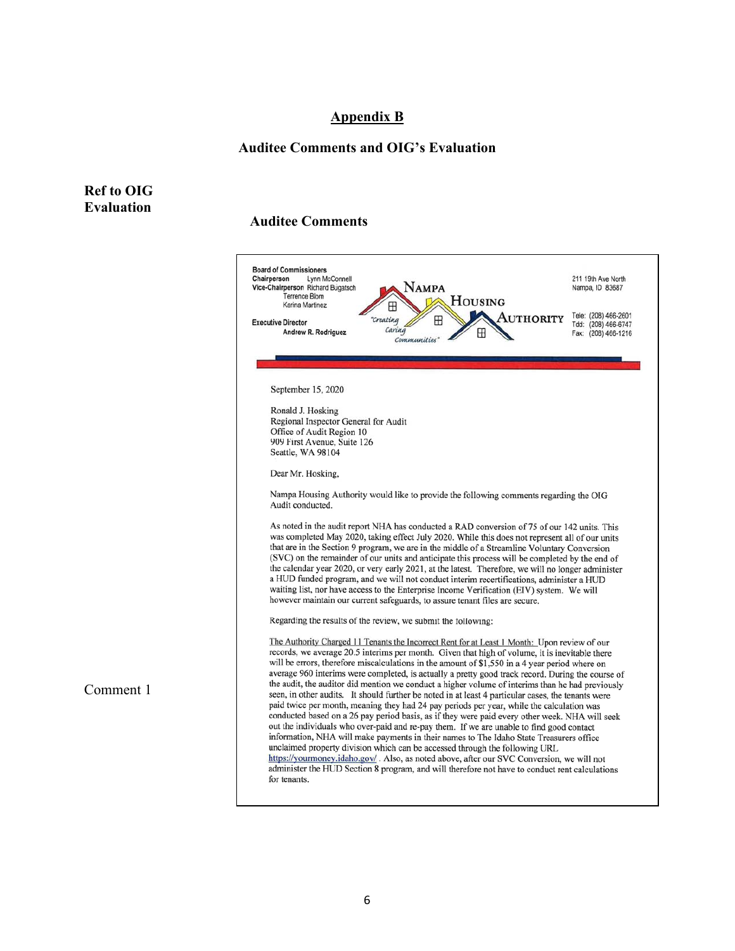#### **Appendix B**

#### **Auditee Comments and OIG's Evaluation**

#### **Ref to OIG Evaluation**

Comment 1

#### **Auditee Comments**

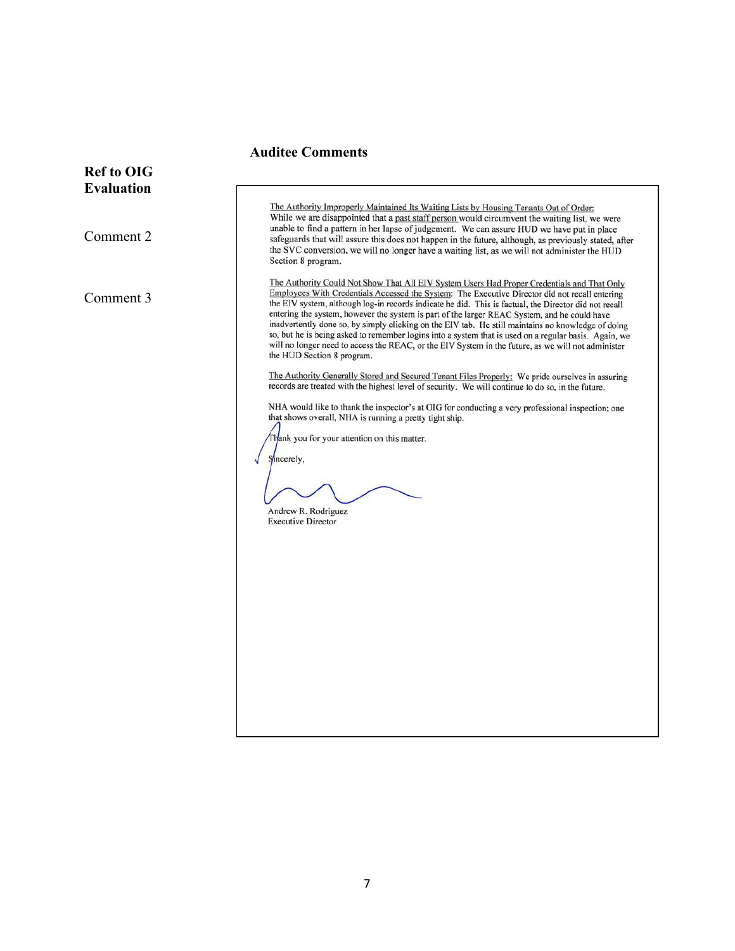# **Auditee Comments**

| <b>Ref to OIG</b> |                                                                                                                                                                                                                                                                                                                                                                                                                                                                                                                                                                                                                                                                                                                                                                                                                                                                                                                                                                                                                                                                                                                                                                                                                                                      |
|-------------------|------------------------------------------------------------------------------------------------------------------------------------------------------------------------------------------------------------------------------------------------------------------------------------------------------------------------------------------------------------------------------------------------------------------------------------------------------------------------------------------------------------------------------------------------------------------------------------------------------------------------------------------------------------------------------------------------------------------------------------------------------------------------------------------------------------------------------------------------------------------------------------------------------------------------------------------------------------------------------------------------------------------------------------------------------------------------------------------------------------------------------------------------------------------------------------------------------------------------------------------------------|
| <b>Evaluation</b> |                                                                                                                                                                                                                                                                                                                                                                                                                                                                                                                                                                                                                                                                                                                                                                                                                                                                                                                                                                                                                                                                                                                                                                                                                                                      |
| Comment 2         | The Authority Improperly Maintained Its Waiting Lists by Housing Tenants Out of Order:<br>While we are disappointed that a past staff person would circumvent the waiting list, we were<br>unable to find a pattern in her lapse of judgement. We can assure HUD we have put in place<br>safeguards that will assure this does not happen in the future, although, as previously stated, after<br>the SVC conversion, we will no longer have a waiting list, as we will not administer the HUD<br>Section 8 program.                                                                                                                                                                                                                                                                                                                                                                                                                                                                                                                                                                                                                                                                                                                                 |
| Comment 3         | The Authority Could Not Show That All EIV System Users Had Proper Credentials and That Only<br>Employees With Credentials Accessed the System: The Executive Director did not recall entering<br>the EIV system, although log-in records indicate he did. This is factual, the Director did not recall<br>entering the system, however the system is part of the larger REAC System, and he could have<br>inadvertently done so, by simply clicking on the EIV tab. He still maintains no knowledge of doing<br>so, but he is being asked to remember logins into a system that is used on a regular basis. Again, we<br>will no longer need to access the REAC, or the EIV System in the future, as we will not administer<br>the HUD Section 8 program.<br>The Authority Generally Stored and Secured Tenant Files Properly: We pride ourselves in assuring<br>records are treated with the highest level of security. We will continue to do so, in the future.<br>NHA would like to thank the inspector's at OIG for conducting a very professional inspection; one<br>that shows overall, NHA is running a pretty tight ship.<br>Thank you for your attention on this matter.<br>Sincerely,<br>Andrew R. Rodriguez<br><b>Executive Director</b> |
|                   |                                                                                                                                                                                                                                                                                                                                                                                                                                                                                                                                                                                                                                                                                                                                                                                                                                                                                                                                                                                                                                                                                                                                                                                                                                                      |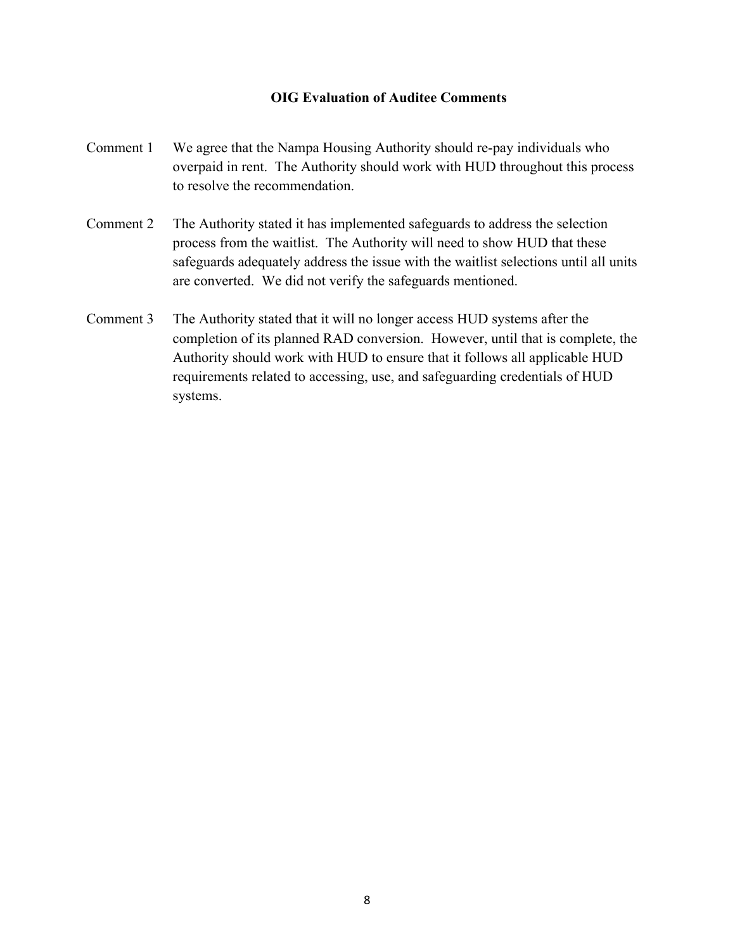#### **OIG Evaluation of Auditee Comments**

- Comment 1 We agree that the Nampa Housing Authority should re-pay individuals who overpaid in rent. The Authority should work with HUD throughout this process to resolve the recommendation.
- Comment 2 The Authority stated it has implemented safeguards to address the selection process from the waitlist. The Authority will need to show HUD that these safeguards adequately address the issue with the waitlist selections until all units are converted. We did not verify the safeguards mentioned.
- Comment 3 The Authority stated that it will no longer access HUD systems after the completion of its planned RAD conversion. However, until that is complete, the Authority should work with HUD to ensure that it follows all applicable HUD requirements related to accessing, use, and safeguarding credentials of HUD systems.